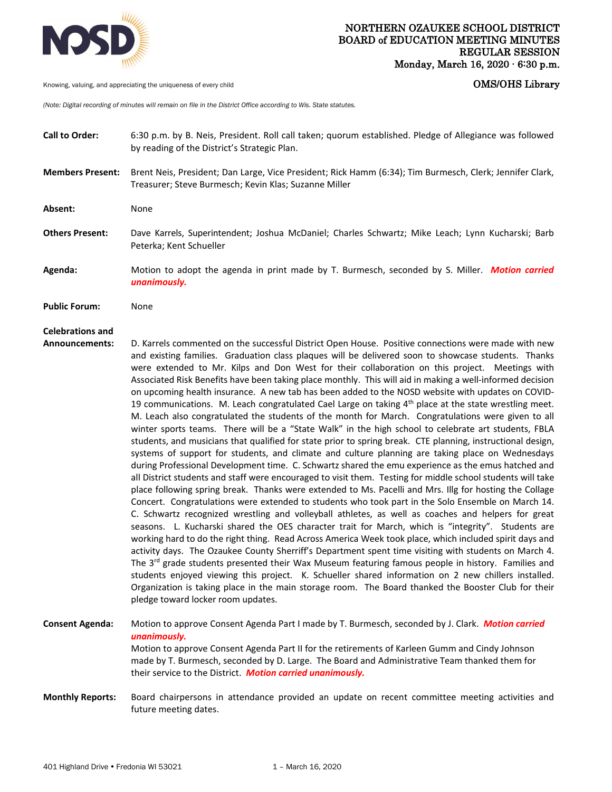

Knowing, valuing, and appreciating the uniqueness of every child **COMS COMS COMS COMS COMS COMS** 

*(Note: Digital recording of minutes will remain on file in the District Office according to Wis. State statutes.* 

- **Call to Order:** 6:30 p.m. by B. Neis, President. Roll call taken; quorum established. Pledge of Allegiance was followed by reading of the District's Strategic Plan.
- **Members Present:** Brent Neis, President; Dan Large, Vice President; Rick Hamm (6:34); Tim Burmesch, Clerk; Jennifer Clark, Treasurer; Steve Burmesch; Kevin Klas; Suzanne Miller
- **Absent:** None
- **Others Present:** Dave Karrels, Superintendent; Joshua McDaniel; Charles Schwartz; Mike Leach; Lynn Kucharski; Barb Peterka; Kent Schueller
- **Agenda:** Motion to adopt the agenda in print made by T. Burmesch, seconded by S. Miller. *Motion carried unanimously.*
- **Public Forum:** None

## **Celebrations and**

**Announcements:** D. Karrels commented on the successful District Open House. Positive connections were made with new and existing families. Graduation class plaques will be delivered soon to showcase students. Thanks were extended to Mr. Kilps and Don West for their collaboration on this project. Meetings with Associated Risk Benefits have been taking place monthly. This will aid in making a well-informed decision on upcoming health insurance. A new tab has been added to the NOSD website with updates on COVID-19 communications. M. Leach congratulated Cael Large on taking  $4<sup>th</sup>$  place at the state wrestling meet. M. Leach also congratulated the students of the month for March. Congratulations were given to all winter sports teams. There will be a "State Walk" in the high school to celebrate art students, FBLA students, and musicians that qualified for state prior to spring break. CTE planning, instructional design, systems of support for students, and climate and culture planning are taking place on Wednesdays during Professional Development time. C. Schwartz shared the emu experience as the emus hatched and all District students and staff were encouraged to visit them. Testing for middle school students will take place following spring break. Thanks were extended to Ms. Pacelli and Mrs. Illg for hosting the Collage Concert. Congratulations were extended to students who took part in the Solo Ensemble on March 14. C. Schwartz recognized wrestling and volleyball athletes, as well as coaches and helpers for great seasons. L. Kucharski shared the OES character trait for March, which is "integrity". Students are working hard to do the right thing. Read Across America Week took place, which included spirit days and activity days. The Ozaukee County Sherriff's Department spent time visiting with students on March 4. The 3<sup>rd</sup> grade students presented their Wax Museum featuring famous people in history. Families and students enjoyed viewing this project. K. Schueller shared information on 2 new chillers installed. Organization is taking place in the main storage room. The Board thanked the Booster Club for their pledge toward locker room updates.

**Consent Agenda:** Motion to approve Consent Agenda Part I made by T. Burmesch, seconded by J. Clark. *Motion carried unanimously.*  Motion to approve Consent Agenda Part II for the retirements of Karleen Gumm and Cindy Johnson made by T. Burmesch, seconded by D. Large. The Board and Administrative Team thanked them for their service to the District. *Motion carried unanimously.* 

**Monthly Reports:** Board chairpersons in attendance provided an update on recent committee meeting activities and future meeting dates.